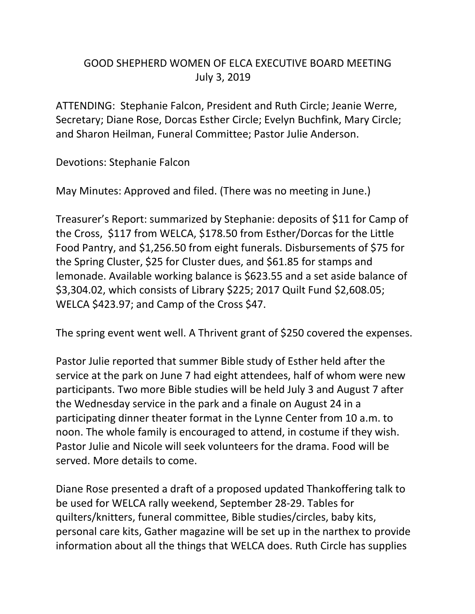## GOOD SHEPHERD WOMEN OF ELCA EXECUTIVE BOARD MEETING July 3, 2019

ATTENDING: Stephanie Falcon, President and Ruth Circle; Jeanie Werre, Secretary; Diane Rose, Dorcas Esther Circle; Evelyn Buchfink, Mary Circle; and Sharon Heilman, Funeral Committee; Pastor Julie Anderson.

Devotions: Stephanie Falcon

May Minutes: Approved and filed. (There was no meeting in June.)

Treasurer's Report: summarized by Stephanie: deposits of \$11 for Camp of the Cross, \$117 from WELCA, \$178.50 from Esther/Dorcas for the Little Food Pantry, and \$1,256.50 from eight funerals. Disbursements of \$75 for the Spring Cluster, \$25 for Cluster dues, and \$61.85 for stamps and lemonade. Available working balance is \$623.55 and a set aside balance of \$3,304.02, which consists of Library \$225; 2017 Quilt Fund \$2,608.05; WELCA \$423.97; and Camp of the Cross \$47.

The spring event went well. A Thrivent grant of \$250 covered the expenses.

Pastor Julie reported that summer Bible study of Esther held after the service at the park on June 7 had eight attendees, half of whom were new participants. Two more Bible studies will be held July 3 and August 7 after the Wednesday service in the park and a finale on August 24 in a participating dinner theater format in the Lynne Center from 10 a.m. to noon. The whole family is encouraged to attend, in costume if they wish. Pastor Julie and Nicole will seek volunteers for the drama. Food will be served. More details to come.

Diane Rose presented a draft of a proposed updated Thankoffering talk to be used for WELCA rally weekend, September 28-29. Tables for quilters/knitters, funeral committee, Bible studies/circles, baby kits, personal care kits, Gather magazine will be set up in the narthex to provide information about all the things that WELCA does. Ruth Circle has supplies